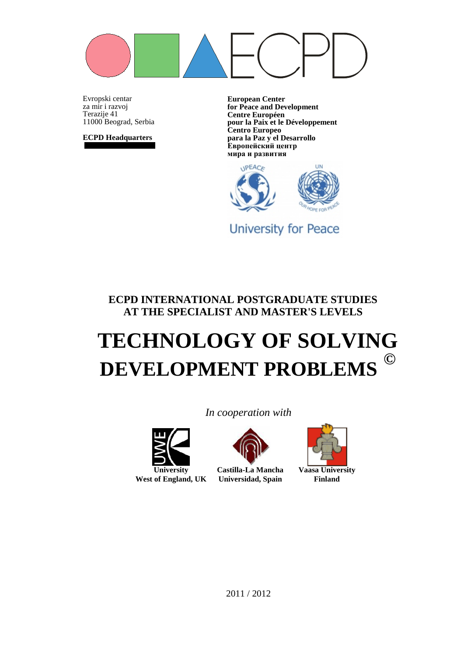

Evropski centar za mir i razvoj Terazije 41 11000 Beograd, Serbia

**ECPD Headquarters**

**European Center for Peace and Development Centre Européen pour la Paix et le Développement Centro Europeo para la Paz y el Desarrollo Европейский центр мира и развития**



**University for Peace** 

**ECPD INTERNATIONAL POSTGRADUATE STUDIES AT THE SPECIALIST AND MASTER'S LEVELS**

# **TECHNOLOGY OF SOLVING DEVELOPMENT PROBLEMS ©**

**University**

**West of England, UK**



**Castilla-La Mancha Universidad, Spain**

*In cooperation with*



**Vaasa University Finland**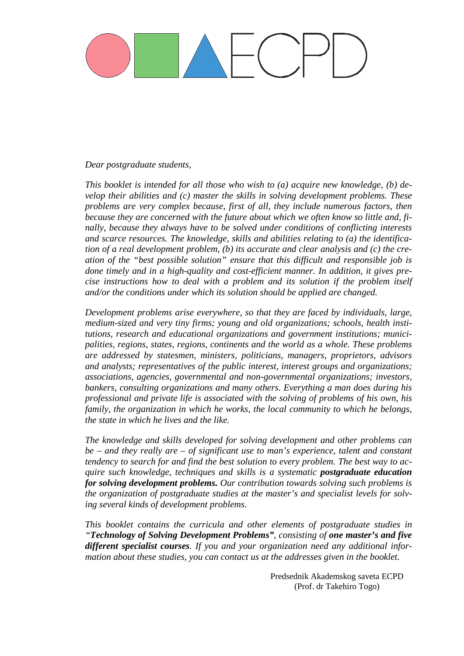#### *Dear postgraduate students,*

*This booklet is intended for all those who wish to (a) acquire new knowledge, (b) develop their abilities and (c) master the skills in solving development problems. These problems are very complex because, first of all, they include numerous factors, then because they are concerned with the future about which we often know so little and, finally, because they always have to be solved under conditions of conflicting interests and scarce resources. The knowledge, skills and abilities relating to (a) the identification of a real development problem, (b) its accurate and clear analysis and (c) the creation of the "best possible solution" ensure that this difficult and responsible job is done timely and in a high-quality and cost-efficient manner. In addition, it gives precise instructions how to deal with a problem and its solution if the problem itself and/or the conditions under which its solution should be applied are changed.*

*Development problems arise everywhere, so that they are faced by individuals, large, medium-sized and very tiny firms; young and old organizations; schools, health institutions, research and educational organizations and government institutions; municipalities, regions, states, regions, continents and the world as a whole. These problems are addressed by statesmen, ministers, politicians, managers, proprietors, advisors and analysts; representatives of the public interest, interest groups and organizations; associations, agencies, governmental and non-governmental organizations; investors, bankers, consulting organizations and many others. Everything a man does during his professional and private life is associated with the solving of problems of his own, his family, the organization in which he works, the local community to which he belongs, the state in which he lives and the like.*

*The knowledge and skills developed for solving development and other problems can be – and they really are – of significant use to man's experience, talent and constant tendency to search for and find the best solution to every problem. The best way to acquire such knowledge, techniques and skills is a systematic postgraduate education for solving development problems. Our contribution towards solving such problems is the organization of postgraduate studies at the master's and specialist levels for solving several kinds of development problems.*

*This booklet contains the curricula and other elements of postgraduate studies in "Technology of Solving Development Problems", consisting of one master's and five different specialist courses. If you and your organization need any additional information about these studies, you can contact us at the addresses given in the booklet.*

> Predsednik Akademskog saveta ECPD (Prof. dr Takehiro Togo)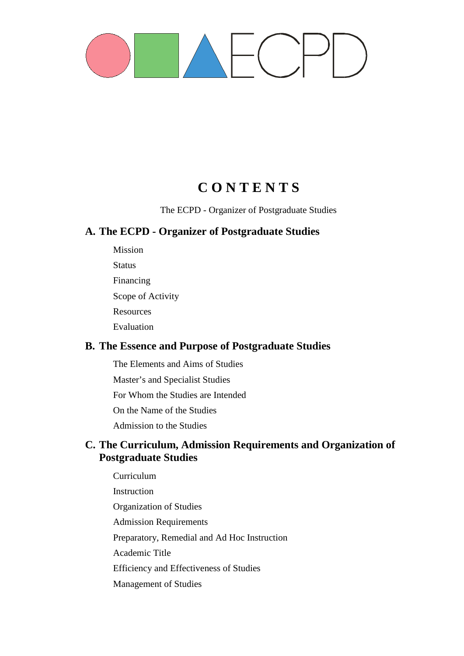

# **C O N T E N T S**

The ECPD - Organizer of Postgraduate Studies

### **A. The ECPD - Organizer of Postgraduate Studies**

Mission **Status** Financing Scope of Activity **Resources** Evaluation

### **B. The Essence and Purpose of Postgraduate Studies**

The Elements and Aims of Studies

Master's and Specialist Studies

For Whom the Studies are Intended

On the Name of the Studies

Admission to the Studies

### **C. The Curriculum, Admission Requirements and Organization of Postgraduate Studies**

Curriculum Instruction Organization of Studies Admission Requirements Preparatory, Remedial and Ad Hoc Instruction Academic Title Efficiency and Effectiveness of Studies Management of Studies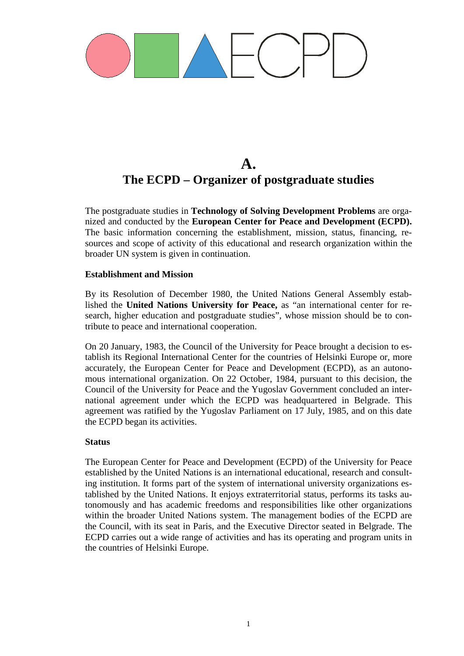# **A. The ECPD – Organizer of postgraduate studies**

The postgraduate studies in **Technology of Solving Development Problems** are organized and conducted by the **European Center for Peace and Development (ECPD).**  The basic information concerning the establishment, mission, status, financing, resources and scope of activity of this educational and research organization within the broader UN system is given in continuation.

#### **Establishment and Mission**

By its Resolution of December 1980, the United Nations General Assembly established the **United Nations University for Peace,** as "an international center for research, higher education and postgraduate studies", whose mission should be to contribute to peace and international cooperation.

On 20 January, 1983, the Council of the University for Peace brought a decision to establish its Regional International Center for the countries of Helsinki Europe or, more accurately, the European Center for Peace and Development (ECPD), as an autonomous international organization. On 22 October, 1984, pursuant to this decision, the Council of the University for Peace and the Yugoslav Government concluded an international agreement under which the ECPD was headquartered in Belgrade. This agreement was ratified by the Yugoslav Parliament on 17 July, 1985, and on this date the ECPD began its activities.

#### **Status**

The European Center for Peace and Development (ECPD) of the University for Peace established by the United Nations is an international educational, research and consulting institution. It forms part of the system of international university organizations established by the United Nations. It enjoys extraterritorial status, performs its tasks autonomously and has academic freedoms and responsibilities like other organizations within the broader United Nations system. The management bodies of the ECPD are the Council, with its seat in Paris, and the Executive Director seated in Belgrade. The ECPD carries out a wide range of activities and has its operating and program units in the countries of Helsinki Europe.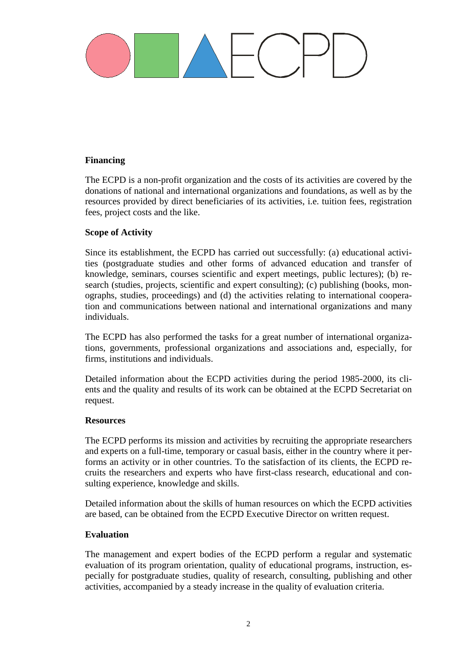#### **Financing**

The ECPD is a non-profit organization and the costs of its activities are covered by the donations of national and international organizations and foundations, as well as by the resources provided by direct beneficiaries of its activities, i.e. tuition fees, registration fees, project costs and the like.

#### **Scope of Activity**

Since its establishment, the ECPD has carried out successfully: (a) educational activities (postgraduate studies and other forms of advanced education and transfer of knowledge, seminars, courses scientific and expert meetings, public lectures); (b) research (studies, projects, scientific and expert consulting); (c) publishing (books, monographs, studies, proceedings) and (d) the activities relating to international cooperation and communications between national and international organizations and many individuals.

The ECPD has also performed the tasks for a great number of international organizations, governments, professional organizations and associations and, especially, for firms, institutions and individuals.

Detailed information about the ECPD activities during the period 1985-2000, its clients and the quality and results of its work can be obtained at the ECPD Secretariat on request.

#### **Resources**

The ECPD performs its mission and activities by recruiting the appropriate researchers and experts on a full-time, temporary or casual basis, either in the country where it performs an activity or in other countries. To the satisfaction of its clients, the ECPD recruits the researchers and experts who have first-class research, educational and consulting experience, knowledge and skills.

Detailed information about the skills of human resources on which the ECPD activities are based, can be obtained from the ECPD Executive Director on written request.

#### **Evaluation**

The management and expert bodies of the ECPD perform a regular and systematic evaluation of its program orientation, quality of educational programs, instruction, especially for postgraduate studies, quality of research, consulting, publishing and other activities, accompanied by a steady increase in the quality of evaluation criteria.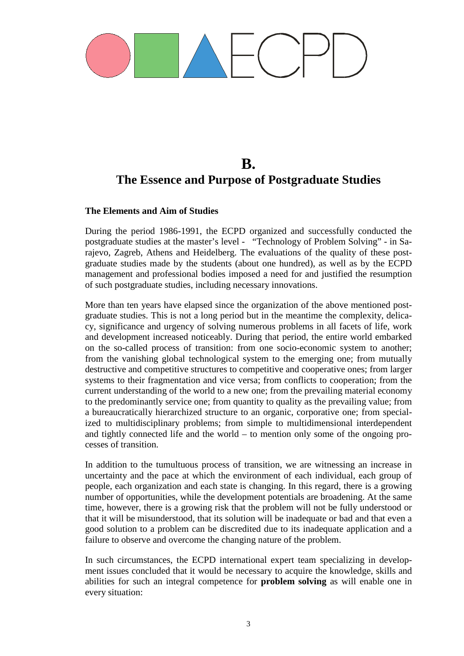# **B. The Essence and Purpose of Postgraduate Studies**

#### **The Elements and Aim of Studies**

During the period 1986-1991, the ECPD organized and successfully conducted the postgraduate studies at the master's level - "Technology of Problem Solving" - in Sarajevo, Zagreb, Athens and Heidelberg. The evaluations of the quality of these postgraduate studies made by the students (about one hundred), as well as by the ECPD management and professional bodies imposed a need for and justified the resumption of such postgraduate studies, including necessary innovations.

More than ten years have elapsed since the organization of the above mentioned postgraduate studies. This is not a long period but in the meantime the complexity, delicacy, significance and urgency of solving numerous problems in all facets of life, work and development increased noticeably. During that period, the entire world embarked on the so-called process of transition: from one socio-economic system to another; from the vanishing global technological system to the emerging one; from mutually destructive and competitive structures to competitive and cooperative ones; from larger systems to their fragmentation and vice versa; from conflicts to cooperation; from the current understanding of the world to a new one; from the prevailing material economy to the predominantly service one; from quantity to quality as the prevailing value; from a bureaucratically hierarchized structure to an organic, corporative one; from specialized to multidisciplinary problems; from simple to multidimensional interdependent and tightly connected life and the world – to mention only some of the ongoing processes of transition.

In addition to the tumultuous process of transition, we are witnessing an increase in uncertainty and the pace at which the environment of each individual, each group of people, each organization and each state is changing. In this regard, there is a growing number of opportunities, while the development potentials are broadening. At the same time, however, there is a growing risk that the problem will not be fully understood or that it will be misunderstood, that its solution will be inadequate or bad and that even a good solution to a problem can be discredited due to its inadequate application and a failure to observe and overcome the changing nature of the problem.

In such circumstances, the ECPD international expert team specializing in development issues concluded that it would be necessary to acquire the knowledge, skills and abilities for such an integral competence for **problem solving** as will enable one in every situation: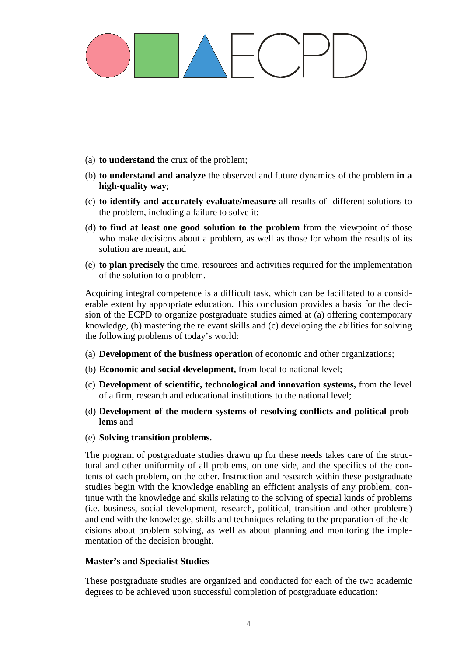- (a) **to understand** the crux of the problem;
- (b) **to understand and analyze** the observed and future dynamics of the problem **in a high-quality way**;
- (c) **to identify and accurately evaluate/measure** all results of different solutions to the problem, including a failure to solve it;
- (d) **to find at least one good solution to the problem** from the viewpoint of those who make decisions about a problem, as well as those for whom the results of its solution are meant, and
- (e) **to plan precisely** the time, resources and activities required for the implementation of the solution to o problem.

Acquiring integral competence is a difficult task, which can be facilitated to a considerable extent by appropriate education. This conclusion provides a basis for the decision of the ECPD to organize postgraduate studies aimed at (a) offering contemporary knowledge, (b) mastering the relevant skills and (c) developing the abilities for solving the following problems of today's world:

- (a) **Development of the business operation** of economic and other organizations;
- (b) **Economic and social development,** from local to national level;
- (c) **Development of scientific, technological and innovation systems,** from the level of a firm, research and educational institutions to the national level;
- (d) **Development of the modern systems of resolving conflicts and political problems** and
- (e) **Solving transition problems.**

The program of postgraduate studies drawn up for these needs takes care of the structural and other uniformity of all problems, on one side, and the specifics of the contents of each problem, on the other. Instruction and research within these postgraduate studies begin with the knowledge enabling an efficient analysis of any problem, continue with the knowledge and skills relating to the solving of special kinds of problems (i.e. business, social development, research, political, transition and other problems) and end with the knowledge, skills and techniques relating to the preparation of the decisions about problem solving, as well as about planning and monitoring the implementation of the decision brought.

#### **Master's and Specialist Studies**

These postgraduate studies are organized and conducted for each of the two academic degrees to be achieved upon successful completion of postgraduate education: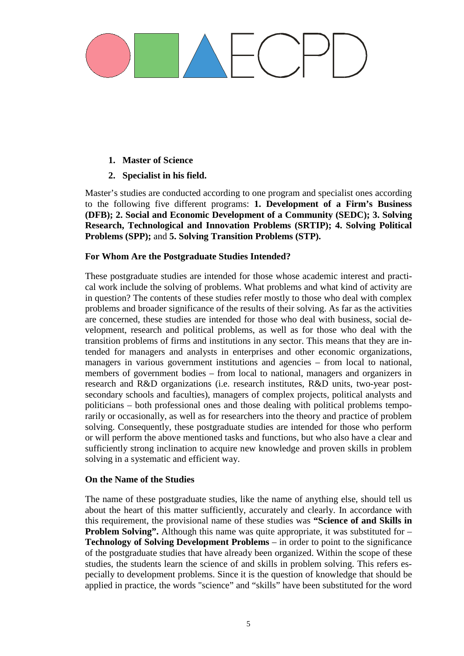#### **1. Master of Science**

#### **2. Specialist in his field.**

Master's studies are conducted according to one program and specialist ones according to the following five different programs: **1. Development of a Firm's Business (DFB); 2. Social and Economic Development of a Community (SEDC); 3. Solving Research, Technological and Innovation Problems (SRTIP); 4. Solving Political Problems (SPP);** and **5. Solving Transition Problems (STP).**

#### **For Whom Are the Postgraduate Studies Intended?**

These postgraduate studies are intended for those whose academic interest and practical work include the solving of problems. What problems and what kind of activity are in question? The contents of these studies refer mostly to those who deal with complex problems and broader significance of the results of their solving. As far as the activities are concerned, these studies are intended for those who deal with business, social development, research and political problems, as well as for those who deal with the transition problems of firms and institutions in any sector. This means that they are intended for managers and analysts in enterprises and other economic organizations, managers in various government institutions and agencies – from local to national, members of government bodies – from local to national, managers and organizers in research and R&D organizations (i.e. research institutes, R&D units, two-year postsecondary schools and faculties), managers of complex projects, political analysts and politicians – both professional ones and those dealing with political problems temporarily or occasionally, as well as for researchers into the theory and practice of problem solving. Consequently, these postgraduate studies are intended for those who perform or will perform the above mentioned tasks and functions, but who also have a clear and sufficiently strong inclination to acquire new knowledge and proven skills in problem solving in a systematic and efficient way.

#### **On the Name of the Studies**

The name of these postgraduate studies, like the name of anything else, should tell us about the heart of this matter sufficiently, accurately and clearly. In accordance with this requirement, the provisional name of these studies was **"Science of and Skills in Problem Solving".** Although this name was quite appropriate, it was substituted for – **Technology of Solving Development Problems** – in order to point to the significance of the postgraduate studies that have already been organized. Within the scope of these studies, the students learn the science of and skills in problem solving. This refers especially to development problems. Since it is the question of knowledge that should be applied in practice, the words "science" and "skills" have been substituted for the word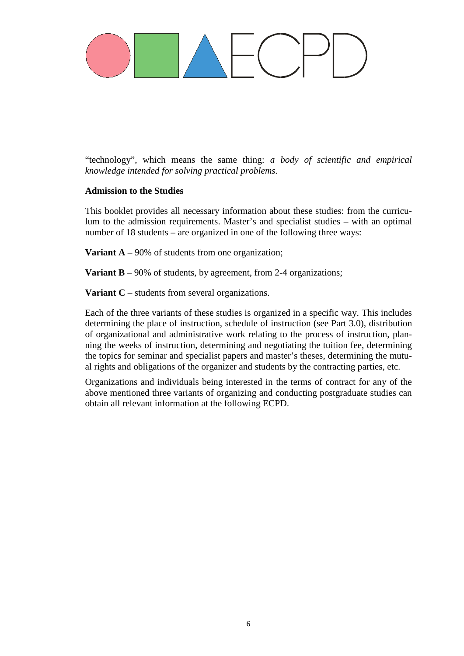

"technology", which means the same thing: *a body of scientific and empirical knowledge intended for solving practical problems.*

#### **Admission to the Studies**

This booklet provides all necessary information about these studies: from the curriculum to the admission requirements. Master's and specialist studies – with an optimal number of 18 students – are organized in one of the following three ways:

**Variant A** – 90% of students from one organization;

**Variant B** – 90% of students, by agreement, from 2-4 organizations;

**Variant C** – students from several organizations.

Each of the three variants of these studies is organized in a specific way. This includes determining the place of instruction, schedule of instruction (see Part 3.0), distribution of organizational and administrative work relating to the process of instruction, planning the weeks of instruction, determining and negotiating the tuition fee, determining the topics for seminar and specialist papers and master's theses, determining the mutual rights and obligations of the organizer and students by the contracting parties, etc.

Organizations and individuals being interested in the terms of contract for any of the above mentioned three variants of organizing and conducting postgraduate studies can obtain all relevant information at the following ECPD.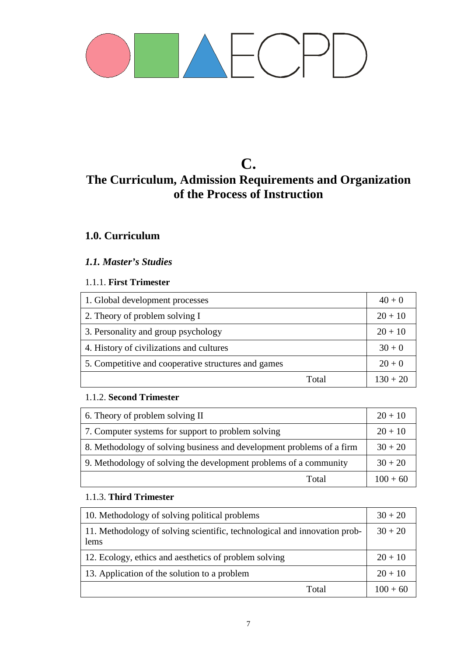

# **C. The Curriculum, Admission Requirements and Organization of the Process of Instruction**

### **1.0. Curriculum**

### *1.1. Master's Studies*

#### 1.1.1. **First Trimester**

| 1. Global development processes                     | $40 + 0$   |
|-----------------------------------------------------|------------|
| 2. Theory of problem solving I                      | $20 + 10$  |
| 3. Personality and group psychology                 | $20 + 10$  |
| 4. History of civilizations and cultures            | $30 + 0$   |
| 5. Competitive and cooperative structures and games | $20 + 0$   |
| Total                                               | $130 + 20$ |

#### 1.1.2. **Second Trimester**

| 6. Theory of problem solving II                                       | $20 + 10$  |
|-----------------------------------------------------------------------|------------|
| 7. Computer systems for support to problem solving                    | $20 + 10$  |
| 8. Methodology of solving business and development problems of a firm | $30 + 20$  |
| 9. Methodology of solving the development problems of a community     | $30 + 20$  |
| Total                                                                 | $100 + 60$ |

#### 1.1.3. **Third Trimester**

| 10. Methodology of solving political problems                                     | $30 + 20$  |
|-----------------------------------------------------------------------------------|------------|
| 11. Methodology of solving scientific, technological and innovation prob-<br>lems | $30 + 20$  |
| 12. Ecology, ethics and aesthetics of problem solving                             | $20 + 10$  |
| 13. Application of the solution to a problem                                      | $20 + 10$  |
| Total                                                                             | $100 + 60$ |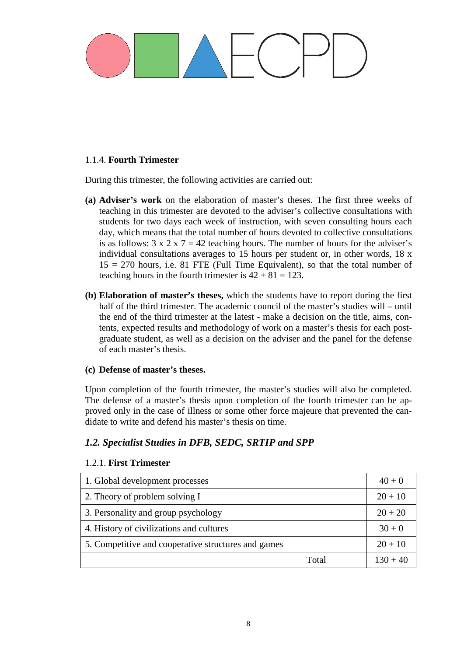#### 1.1.4. **Fourth Trimester**

During this trimester, the following activities are carried out:

- **(a) Adviser's work** on the elaboration of master's theses. The first three weeks of teaching in this trimester are devoted to the adviser's collective consultations with students for two days each week of instruction, with seven consulting hours each day, which means that the total number of hours devoted to collective consultations is as follows:  $3 \times 2 \times 7 = 42$  teaching hours. The number of hours for the adviser's individual consultations averages to 15 hours per student or, in other words, 18 x 15 = 270 hours, i.e. 81 FTE (Full Time Equivalent), so that the total number of teaching hours in the fourth trimester is  $42 + 81 = 123$ .
- **(b) Elaboration of master's theses,** which the students have to report during the first half of the third trimester. The academic council of the master's studies will – until the end of the third trimester at the latest - make a decision on the title, aims, contents, expected results and methodology of work on a master's thesis for each postgraduate student, as well as a decision on the adviser and the panel for the defense of each master's thesis.

#### **(c) Defense of master's theses.**

Upon completion of the fourth trimester, the master's studies will also be completed. The defense of a master's thesis upon completion of the fourth trimester can be approved only in the case of illness or some other force majeure that prevented the candidate to write and defend his master's thesis on time.

### *1.2. Specialist Studies in DFB, SEDC, SRTIP and SPP*

#### 1.2.1. **First Trimester**

| 1. Global development processes                     | $40 + 0$   |
|-----------------------------------------------------|------------|
| 2. Theory of problem solving I                      | $20 + 10$  |
| 3. Personality and group psychology                 | $20 + 20$  |
| 4. History of civilizations and cultures            | $30 + 0$   |
| 5. Competitive and cooperative structures and games | $20 + 10$  |
| Total                                               | $130 + 40$ |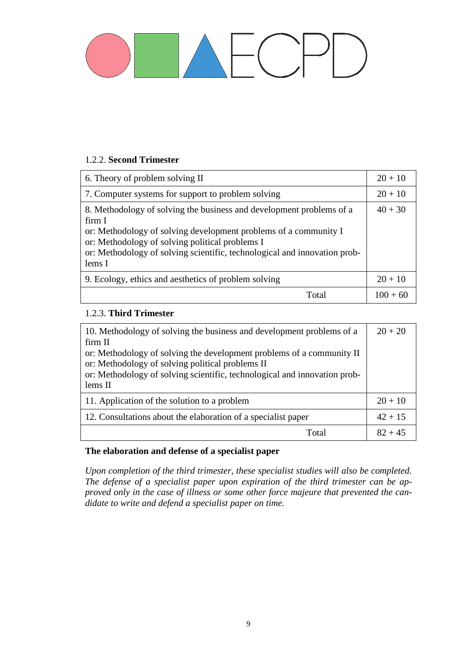#### 1.2.2. **Second Trimester**

| 6. Theory of problem solving II                                                                                                                                                                                                                                                              | $20 + 10$  |
|----------------------------------------------------------------------------------------------------------------------------------------------------------------------------------------------------------------------------------------------------------------------------------------------|------------|
| 7. Computer systems for support to problem solving                                                                                                                                                                                                                                           | $20 + 10$  |
| 8. Methodology of solving the business and development problems of a<br>firm I<br>or: Methodology of solving development problems of a community I<br>or: Methodology of solving political problems I<br>or: Methodology of solving scientific, technological and innovation prob-<br>lems I | $40 + 30$  |
| 9. Ecology, ethics and aesthetics of problem solving                                                                                                                                                                                                                                         | $20 + 10$  |
| Total                                                                                                                                                                                                                                                                                        | $100 + 60$ |

#### 1.2.3. **Third Trimester**

| 10. Methodology of solving the business and development problems of a     | $20 + 20$ |
|---------------------------------------------------------------------------|-----------|
| firm II                                                                   |           |
| or: Methodology of solving the development problems of a community II     |           |
| or: Methodology of solving political problems II                          |           |
| or: Methodology of solving scientific, technological and innovation prob- |           |
| lems II                                                                   |           |
| 11. Application of the solution to a problem                              | $20 + 10$ |
| 12. Consultations about the elaboration of a specialist paper             | $42 + 15$ |
| Total                                                                     | $82 + 45$ |

#### **The elaboration and defense of a specialist paper**

*Upon completion of the third trimester, these specialist studies will also be completed. The defense of a specialist paper upon expiration of the third trimester can be approved only in the case of illness or some other force majeure that prevented the candidate to write and defend a specialist paper on time.*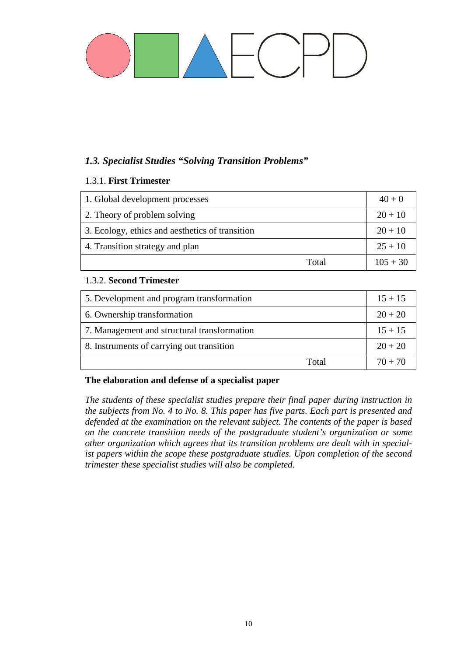### *1.3. Specialist Studies "Solving Transition Problems"*

#### 1.3.1. **First Trimester**

| 1. Global development processes                 | $40 + 0$   |
|-------------------------------------------------|------------|
| 2. Theory of problem solving                    | $20 + 10$  |
| 3. Ecology, ethics and aesthetics of transition | $20 + 10$  |
| 4. Transition strategy and plan                 | $25 + 10$  |
| Total                                           | $105 + 30$ |

#### 1.3.2. **Second Trimester**

| 5. Development and program transformation   | $15 + 15$ |
|---------------------------------------------|-----------|
| 6. Ownership transformation                 | $20 + 20$ |
| 7. Management and structural transformation | $15 + 15$ |
| 8. Instruments of carrying out transition   | $20 + 20$ |
| Total                                       | $70 + 70$ |

#### **The elaboration and defense of a specialist paper**

*The students of these specialist studies prepare their final paper during instruction in the subjects from No. 4 to No. 8. This paper has five parts. Each part is presented and defended at the examination on the relevant subject. The contents of the paper is based on the concrete transition needs of the postgraduate student's organization or some other organization which agrees that its transition problems are dealt with in specialist papers within the scope these postgraduate studies. Upon completion of the second trimester these specialist studies will also be completed.*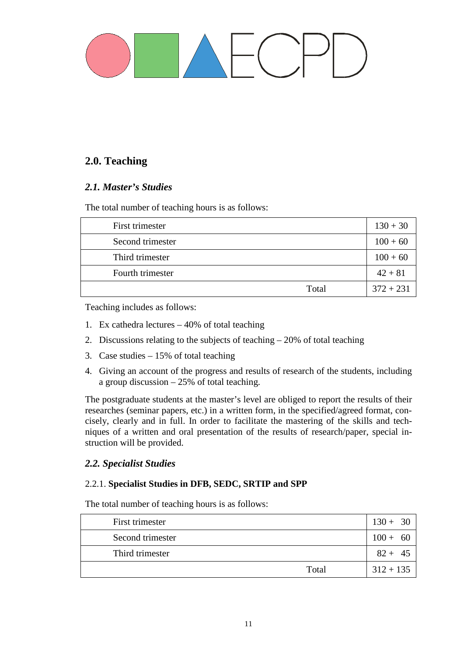### **2.0. Teaching**

### *2.1. Master's Studies*

The total number of teaching hours is as follows:

| First trimester  | $130 + 30$  |
|------------------|-------------|
| Second trimester | $100 + 60$  |
| Third trimester  | $100 + 60$  |
| Fourth trimester | $42 + 81$   |
| Total            | $372 + 231$ |

Teaching includes as follows:

- 1. Ex cathedra lectures 40% of total teaching
- 2. Discussions relating to the subjects of teaching 20% of total teaching
- 3. Case studies 15% of total teaching
- 4. Giving an account of the progress and results of research of the students, including a group discussion – 25% of total teaching.

The postgraduate students at the master's level are obliged to report the results of their researches (seminar papers, etc.) in a written form, in the specified/agreed format, concisely, clearly and in full. In order to facilitate the mastering of the skills and techniques of a written and oral presentation of the results of research/paper, special instruction will be provided.

#### *2.2. Specialist Studies*

#### 2.2.1. **Specialist Studies in DFB, SEDC, SRTIP and SPP**

The total number of teaching hours is as follows:

| First trimester  | $130 + 30$      |
|------------------|-----------------|
| Second trimester | $100 +$<br>- 60 |
| Third trimester  | $82+$<br>- 45   |
| Total            | $312 + 135$     |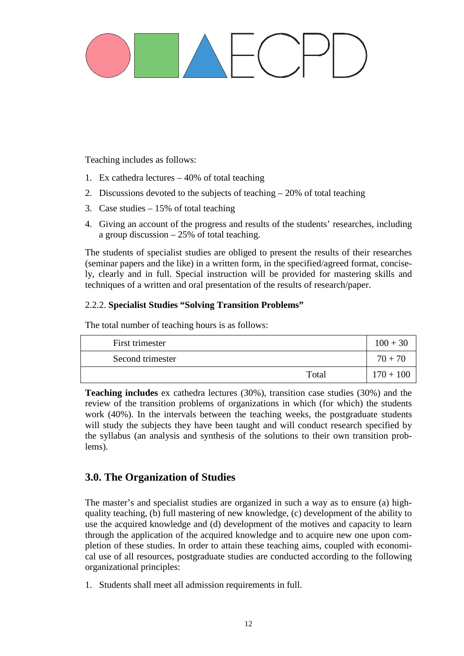Teaching includes as follows:

- 1. Ex cathedra lectures 40% of total teaching
- 2. Discussions devoted to the subjects of teaching 20% of total teaching
- 3. Case studies 15% of total teaching
- 4. Giving an account of the progress and results of the students' researches, including a group discussion – 25% of total teaching.

The students of specialist studies are obliged to present the results of their researches (seminar papers and the like) in a written form, in the specified/agreed format, concisely, clearly and in full. Special instruction will be provided for mastering skills and techniques of a written and oral presentation of the results of research/paper.

#### 2.2.2. **Specialist Studies "Solving Transition Problems"**

The total number of teaching hours is as follows:

| First trimester  | $100 + 30$  |
|------------------|-------------|
| Second trimester | $70 + 70$   |
| Total            | $170 + 100$ |

**Teaching includes** ex cathedra lectures (30%), transition case studies (30%) and the review of the transition problems of organizations in which (for which) the students work (40%). In the intervals between the teaching weeks, the postgraduate students will study the subjects they have been taught and will conduct research specified by the syllabus (an analysis and synthesis of the solutions to their own transition problems).

### **3.0. The Organization of Studies**

The master's and specialist studies are organized in such a way as to ensure (a) highquality teaching, (b) full mastering of new knowledge, (c) development of the ability to use the acquired knowledge and (d) development of the motives and capacity to learn through the application of the acquired knowledge and to acquire new one upon completion of these studies. In order to attain these teaching aims, coupled with economical use of all resources, postgraduate studies are conducted according to the following organizational principles:

1. Students shall meet all admission requirements in full.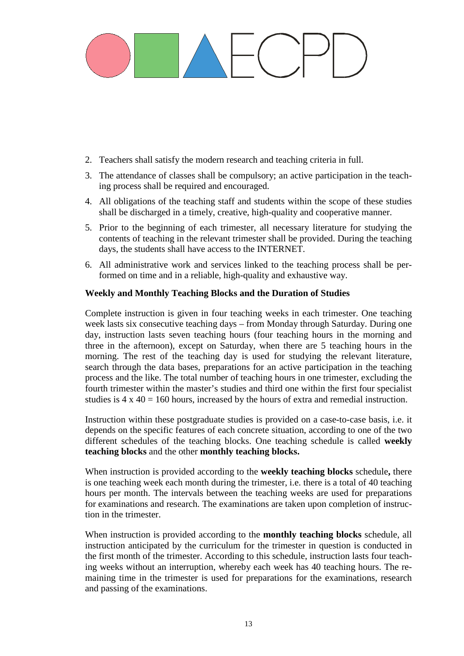- 2. Teachers shall satisfy the modern research and teaching criteria in full.
- 3. The attendance of classes shall be compulsory; an active participation in the teaching process shall be required and encouraged.
- 4. All obligations of the teaching staff and students within the scope of these studies shall be discharged in a timely, creative, high-quality and cooperative manner.
- 5. Prior to the beginning of each trimester, all necessary literature for studying the contents of teaching in the relevant trimester shall be provided. During the teaching days, the students shall have access to the INTERNET.
- 6. All administrative work and services linked to the teaching process shall be performed on time and in a reliable, high-quality and exhaustive way.

#### **Weekly and Monthly Teaching Blocks and the Duration of Studies**

Complete instruction is given in four teaching weeks in each trimester. One teaching week lasts six consecutive teaching days – from Monday through Saturday. During one day, instruction lasts seven teaching hours (four teaching hours in the morning and three in the afternoon), except on Saturday, when there are 5 teaching hours in the morning. The rest of the teaching day is used for studying the relevant literature, search through the data bases, preparations for an active participation in the teaching process and the like. The total number of teaching hours in one trimester, excluding the fourth trimester within the master's studies and third one within the first four specialist studies is  $4 \times 40 = 160$  hours, increased by the hours of extra and remedial instruction.

Instruction within these postgraduate studies is provided on a case-to-case basis, i.e. it depends on the specific features of each concrete situation, according to one of the two different schedules of the teaching blocks. One teaching schedule is called **weekly teaching blocks** and the other **monthly teaching blocks.**

When instruction is provided according to the **weekly teaching blocks** schedule**,** there is one teaching week each month during the trimester, i.e. there is a total of 40 teaching hours per month. The intervals between the teaching weeks are used for preparations for examinations and research. The examinations are taken upon completion of instruction in the trimester.

When instruction is provided according to the **monthly teaching blocks** schedule, all instruction anticipated by the curriculum for the trimester in question is conducted in the first month of the trimester. According to this schedule, instruction lasts four teaching weeks without an interruption, whereby each week has 40 teaching hours. The remaining time in the trimester is used for preparations for the examinations, research and passing of the examinations.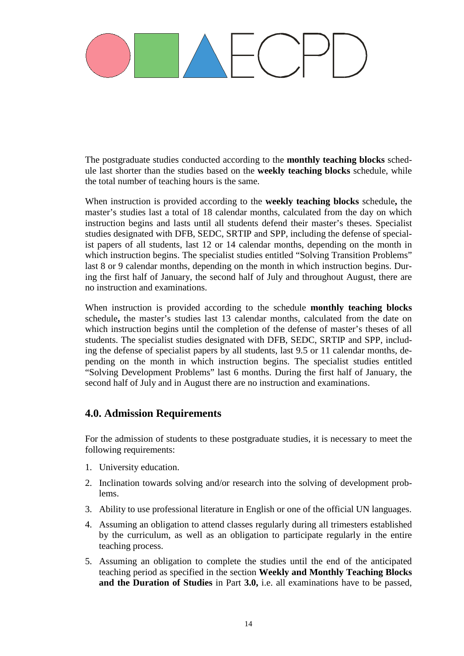The postgraduate studies conducted according to the **monthly teaching blocks** schedule last shorter than the studies based on the **weekly teaching blocks** schedule, while the total number of teaching hours is the same.

When instruction is provided according to the **weekly teaching blocks** schedule**,** the master's studies last a total of 18 calendar months, calculated from the day on which instruction begins and lasts until all students defend their master's theses. Specialist studies designated with DFB, SEDC, SRTIP and SPP, including the defense of specialist papers of all students, last 12 or 14 calendar months, depending on the month in which instruction begins. The specialist studies entitled "Solving Transition Problems" last 8 or 9 calendar months, depending on the month in which instruction begins. During the first half of January, the second half of July and throughout August, there are no instruction and examinations.

When instruction is provided according to the schedule **monthly teaching blocks**  schedule**,** the master's studies last 13 calendar months, calculated from the date on which instruction begins until the completion of the defense of master's theses of all students. The specialist studies designated with DFB, SEDC, SRTIP and SPP, including the defense of specialist papers by all students, last 9.5 or 11 calendar months, depending on the month in which instruction begins. The specialist studies entitled "Solving Development Problems" last 6 months. During the first half of January, the second half of July and in August there are no instruction and examinations.

### **4.0. Admission Requirements**

For the admission of students to these postgraduate studies, it is necessary to meet the following requirements:

- 1. University education.
- 2. Inclination towards solving and/or research into the solving of development problems.
- 3. Ability to use professional literature in English or one of the official UN languages.
- 4. Assuming an obligation to attend classes regularly during all trimesters established by the curriculum, as well as an obligation to participate regularly in the entire teaching process.
- 5. Assuming an obligation to complete the studies until the end of the anticipated teaching period as specified in the section **Weekly and Monthly Teaching Blocks and the Duration of Studies** in Part **3.0,** i.e. all examinations have to be passed,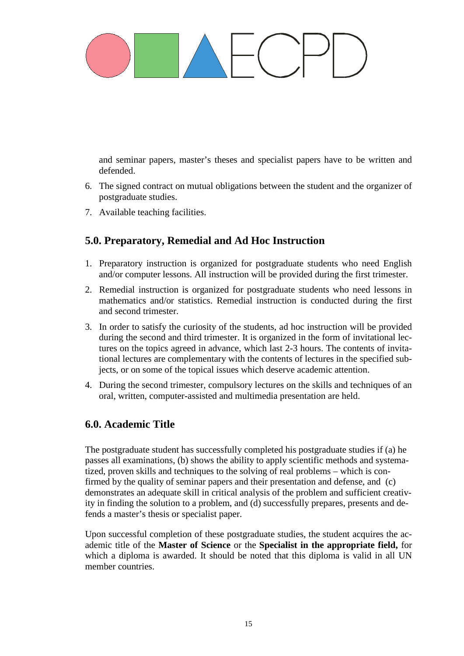and seminar papers, master's theses and specialist papers have to be written and defended.

- 6. The signed contract on mutual obligations between the student and the organizer of postgraduate studies.
- 7. Available teaching facilities.

### **5.0. Preparatory, Remedial and Ad Hoc Instruction**

- 1. Preparatory instruction is organized for postgraduate students who need English and/or computer lessons. All instruction will be provided during the first trimester.
- 2. Remedial instruction is organized for postgraduate students who need lessons in mathematics and/or statistics. Remedial instruction is conducted during the first and second trimester.
- 3. In order to satisfy the curiosity of the students, ad hoc instruction will be provided during the second and third trimester. It is organized in the form of invitational lectures on the topics agreed in advance, which last 2-3 hours. The contents of invitational lectures are complementary with the contents of lectures in the specified subjects, or on some of the topical issues which deserve academic attention.
- 4. During the second trimester, compulsory lectures on the skills and techniques of an oral, written, computer-assisted and multimedia presentation are held.

### **6.0. Academic Title**

The postgraduate student has successfully completed his postgraduate studies if (a) he passes all examinations, (b) shows the ability to apply scientific methods and systematized, proven skills and techniques to the solving of real problems – which is confirmed by the quality of seminar papers and their presentation and defense, and (c) demonstrates an adequate skill in critical analysis of the problem and sufficient creativity in finding the solution to a problem, and (d) successfully prepares, presents and defends a master's thesis or specialist paper.

Upon successful completion of these postgraduate studies, the student acquires the academic title of the **Master of Science** or the **Specialist in the appropriate field,** for which a diploma is awarded. It should be noted that this diploma is valid in all UN member countries.